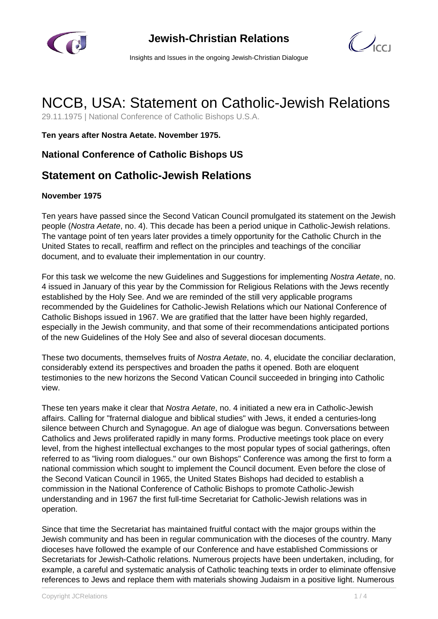



Insights and Issues in the ongoing Jewish-Christian Dialogue

# NCCB, USA: Statement on Catholic-Jewish Relations

29.11.1975 | National Conference of Catholic Bishops U.S.A.

### **Ten years after Nostra Aetate. November 1975.**

## **National Conference of Catholic Bishops US**

## **Statement on Catholic-Jewish Relations**

#### **November 1975**

Ten years have passed since the Second Vatican Council promulgated its statement on the Jewish people (Nostra Aetate, no. 4). This decade has been a period unique in Catholic-Jewish relations. The vantage point of ten years later provides a timely opportunity for the Catholic Church in the United States to recall, reaffirm and reflect on the principles and teachings of the conciliar document, and to evaluate their implementation in our country.

For this task we welcome the new Guidelines and Suggestions for implementing Nostra Aetate, no. 4 issued in January of this year by the Commission for Religious Relations with the Jews recently established by the Holy See. And we are reminded of the still very applicable programs recommended by the Guidelines for Catholic-Jewish Relations which our National Conference of Catholic Bishops issued in 1967. We are gratified that the latter have been highly regarded, especially in the Jewish community, and that some of their recommendations anticipated portions of the new Guidelines of the Holy See and also of several diocesan documents.

These two documents, themselves fruits of Nostra Aetate, no. 4, elucidate the conciliar declaration, considerably extend its perspectives and broaden the paths it opened. Both are eloquent testimonies to the new horizons the Second Vatican Council succeeded in bringing into Catholic view.

These ten years make it clear that Nostra Aetate, no. 4 initiated a new era in Catholic-Jewish affairs. Calling for "fraternal dialogue and biblical studies" with Jews, it ended a centuries-long silence between Church and Synagogue. An age of dialogue was begun. Conversations between Catholics and Jews proliferated rapidly in many forms. Productive meetings took place on every level, from the highest intellectual exchanges to the most popular types of social gatherings, often referred to as "living room dialogues." our own Bishops" Conference was among the first to form a national commission which sought to implement the Council document. Even before the close of the Second Vatican Council in 1965, the United States Bishops had decided to establish a commission in the National Conference of Catholic Bishops to promote Catholic-Jewish understanding and in 1967 the first full-time Secretariat for Catholic-Jewish relations was in operation.

Since that time the Secretariat has maintained fruitful contact with the major groups within the Jewish community and has been in regular communication with the dioceses of the country. Many dioceses have followed the example of our Conference and have established Commissions or Secretariats for Jewish-Catholic relations. Numerous projects have been undertaken, including, for example, a careful and systematic analysis of Catholic teaching texts in order to eliminate offensive references to Jews and replace them with materials showing Judaism in a positive light. Numerous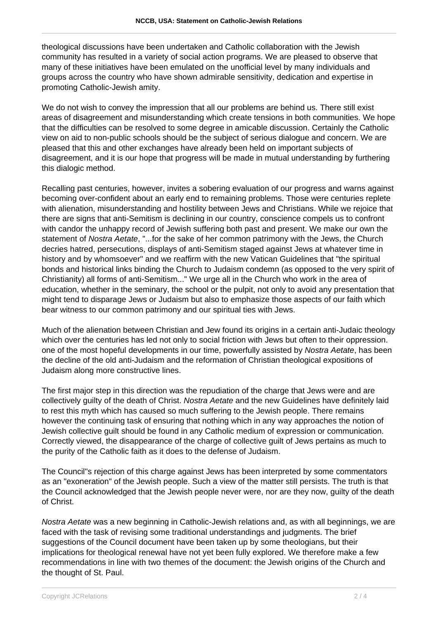theological discussions have been undertaken and Catholic collaboration with the Jewish community has resulted in a variety of social action programs. We are pleased to observe that many of these initiatives have been emulated on the unofficial level by many individuals and groups across the country who have shown admirable sensitivity, dedication and expertise in promoting Catholic-Jewish amity.

We do not wish to convey the impression that all our problems are behind us. There still exist areas of disagreement and misunderstanding which create tensions in both communities. We hope that the difficulties can be resolved to some degree in amicable discussion. Certainly the Catholic view on aid to non-public schools should be the subject of serious dialogue and concern. We are pleased that this and other exchanges have already been held on important subjects of disagreement, and it is our hope that progress will be made in mutual understanding by furthering this dialogic method.

Recalling past centuries, however, invites a sobering evaluation of our progress and warns against becoming over-confident about an early end to remaining problems. Those were centuries replete with alienation, misunderstanding and hostility between Jews and Christians. While we rejoice that there are signs that anti-Semitism is declining in our country, conscience compels us to confront with candor the unhappy record of Jewish suffering both past and present. We make our own the statement of Nostra Aetate, "...for the sake of her common patrimony with the Jews, the Church decries hatred, persecutions, displays of anti-Semitism staged against Jews at whatever time in history and by whomsoever" and we reaffirm with the new Vatican Guidelines that "the spiritual bonds and historical links binding the Church to Judaism condemn (as opposed to the very spirit of Christianity) all forms of anti-Semitism..." We urge all in the Church who work in the area of education, whether in the seminary, the school or the pulpit, not only to avoid any presentation that might tend to disparage Jews or Judaism but also to emphasize those aspects of our faith which bear witness to our common patrimony and our spiritual ties with Jews.

Much of the alienation between Christian and Jew found its origins in a certain anti-Judaic theology which over the centuries has led not only to social friction with Jews but often to their oppression. one of the most hopeful developments in our time, powerfully assisted by Nostra Aetate, has been the decline of the old anti-Judaism and the reformation of Christian theological expositions of Judaism along more constructive lines.

The first major step in this direction was the repudiation of the charge that Jews were and are collectively quilty of the death of Christ. Nostra Aetate and the new Guidelines have definitely laid to rest this myth which has caused so much suffering to the Jewish people. There remains however the continuing task of ensuring that nothing which in any way approaches the notion of Jewish collective guilt should be found in any Catholic medium of expression or communication. Correctly viewed, the disappearance of the charge of collective guilt of Jews pertains as much to the purity of the Catholic faith as it does to the defense of Judaism.

The Council"s rejection of this charge against Jews has been interpreted by some commentators as an "exoneration" of the Jewish people. Such a view of the matter still persists. The truth is that the Council acknowledged that the Jewish people never were, nor are they now, guilty of the death of Christ.

Nostra Aetate was a new beginning in Catholic-Jewish relations and, as with all beginnings, we are faced with the task of revising some traditional understandings and judgments. The brief suggestions of the Council document have been taken up by some theologians, but their implications for theological renewal have not yet been fully explored. We therefore make a few recommendations in line with two themes of the document: the Jewish origins of the Church and the thought of St. Paul.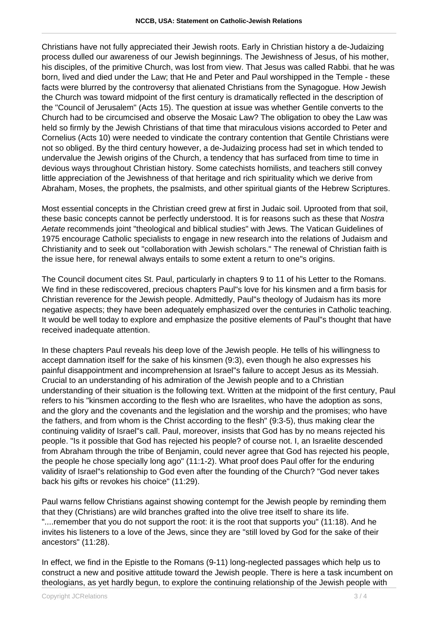Christians have not fully appreciated their Jewish roots. Early in Christian history a de-Judaizing process dulled our awareness of our Jewish beginnings. The Jewishness of Jesus, of his mother, his disciples, of the primitive Church, was lost from view. That Jesus was called Rabbi. that he was born, lived and died under the Law; that He and Peter and Paul worshipped in the Temple - these facts were blurred by the controversy that alienated Christians from the Synagogue. How Jewish the Church was toward midpoint of the first century is dramatically reflected in the description of the "Council of Jerusalem" (Acts 15). The question at issue was whether Gentile converts to the Church had to be circumcised and observe the Mosaic Law? The obligation to obey the Law was held so firmly by the Jewish Christians of that time that miraculous visions accorded to Peter and Cornelius (Acts 10) were needed to vindicate the contrary contention that Gentile Christians were not so obliged. By the third century however, a de-Judaizing process had set in which tended to undervalue the Jewish origins of the Church, a tendency that has surfaced from time to time in devious ways throughout Christian history. Some catechists homilists, and teachers still convey little appreciation of the Jewishness of that heritage and rich spirituality which we derive from Abraham, Moses, the prophets, the psalmists, and other spiritual giants of the Hebrew Scriptures.

Most essential concepts in the Christian creed grew at first in Judaic soil. Uprooted from that soil, these basic concepts cannot be perfectly understood. It is for reasons such as these that Nostra Aetate recommends joint "theological and biblical studies" with Jews. The Vatican Guidelines of 1975 encourage Catholic specialists to engage in new research into the relations of Judaism and Christianity and to seek out "collaboration with Jewish scholars." The renewal of Christian faith is the issue here, for renewal always entails to some extent a return to one"s origins.

The Council document cites St. Paul, particularly in chapters 9 to 11 of his Letter to the Romans. We find in these rediscovered, precious chapters Paul"s love for his kinsmen and a firm basis for Christian reverence for the Jewish people. Admittedly, Paul"s theology of Judaism has its more negative aspects; they have been adequately emphasized over the centuries in Catholic teaching. It would be well today to explore and emphasize the positive elements of Paul"s thought that have received inadequate attention.

In these chapters Paul reveals his deep love of the Jewish people. He tells of his willingness to accept damnation itself for the sake of his kinsmen (9:3), even though he also expresses his painful disappointment and incomprehension at Israel"s failure to accept Jesus as its Messiah. Crucial to an understanding of his admiration of the Jewish people and to a Christian understanding of their situation is the following text. Written at the midpoint of the first century, Paul refers to his "kinsmen according to the flesh who are Israelites, who have the adoption as sons, and the glory and the covenants and the legislation and the worship and the promises; who have the fathers, and from whom is the Christ according to the flesh" (9:3-5), thus making clear the continuing validity of Israel"s call. Paul, moreover, insists that God has by no means rejected his people. "Is it possible that God has rejected his people? of course not. I, an Israelite descended from Abraham through the tribe of Benjamin, could never agree that God has rejected his people, the people he chose specially long ago" (11:1-2). What proof does Paul offer for the enduring validity of Israel"s relationship to God even after the founding of the Church? "God never takes back his gifts or revokes his choice" (11:29).

Paul warns fellow Christians against showing contempt for the Jewish people by reminding them that they (Christians) are wild branches grafted into the olive tree itself to share its life. "....remember that you do not support the root: it is the root that supports you" (11:18). And he invites his listeners to a love of the Jews, since they are "still loved by God for the sake of their ancestors" (11:28).

In effect, we find in the Epistle to the Romans (9-11) long-neglected passages which help us to construct a new and positive attitude toward the Jewish people. There is here a task incumbent on theologians, as yet hardly begun, to explore the continuing relationship of the Jewish people with